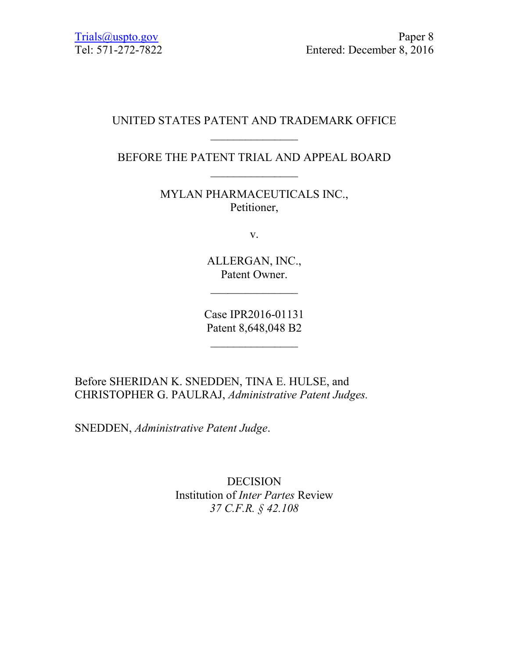### UNITED STATES PATENT AND TRADEMARK OFFICE  $\mathcal{L}_\text{max}$

BEFORE THE PATENT TRIAL AND APPEAL BOARD  $\mathcal{L}_\text{max}$ 

> MYLAN PHARMACEUTICALS INC., Petitioner,

> > v.

ALLERGAN, INC., Patent Owner.

 $\frac{1}{2}$ 

Case IPR2016-01131 Patent 8,648,048 B2

 $\frac{1}{2}$ 

Before SHERIDAN K. SNEDDEN, TINA E. HULSE, and CHRISTOPHER G. PAULRAJ, *Administrative Patent Judges.* 

SNEDDEN, *Administrative Patent Judge*.

DECISION Institution of *Inter Partes* Review *37 C.F.R. § 42.108*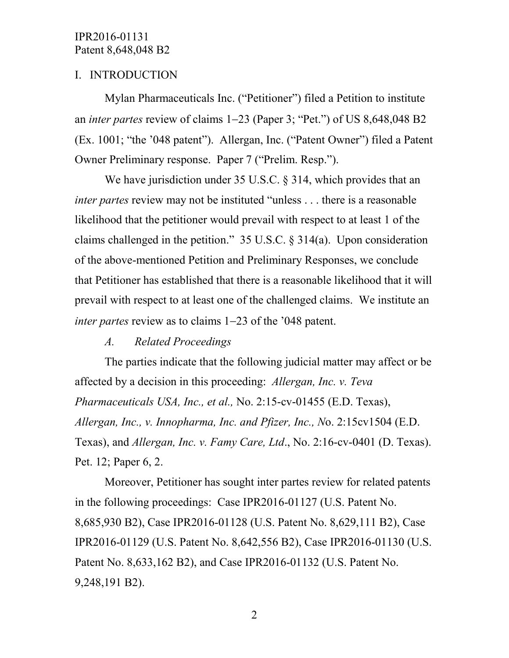# I. INTRODUCTION

Mylan Pharmaceuticals Inc. ("Petitioner") filed a Petition to institute an *inter partes* review of claims 1−23 (Paper 3; "Pet.") of US 8,648,048 B2 (Ex. 1001; "the '048 patent"). Allergan, Inc. ("Patent Owner") filed a Patent Owner Preliminary response. Paper 7 ("Prelim. Resp.").

We have jurisdiction under 35 U.S.C. § 314, which provides that an *inter partes* review may not be instituted "unless . . . there is a reasonable likelihood that the petitioner would prevail with respect to at least 1 of the claims challenged in the petition." 35 U.S.C. § 314(a). Upon consideration of the above-mentioned Petition and Preliminary Responses, we conclude that Petitioner has established that there is a reasonable likelihood that it will prevail with respect to at least one of the challenged claims. We institute an *inter partes* review as to claims 1−23 of the '048 patent.

### *A. Related Proceedings*

The parties indicate that the following judicial matter may affect or be affected by a decision in this proceeding: *Allergan, Inc. v. Teva Pharmaceuticals USA, Inc., et al.,* No. 2:15-cv-01455 (E.D. Texas), *Allergan, Inc., v. Innopharma, Inc. and Pfizer, Inc., N*o. 2:15cv1504 (E.D. Texas), and *Allergan, Inc. v. Famy Care, Ltd*., No. 2:16-cv-0401 (D. Texas). Pet. 12; Paper 6, 2.

Moreover, Petitioner has sought inter partes review for related patents in the following proceedings: Case IPR2016-01127 (U.S. Patent No. 8,685,930 B2), Case IPR2016-01128 (U.S. Patent No. 8,629,111 B2), Case IPR2016-01129 (U.S. Patent No. 8,642,556 B2), Case IPR2016-01130 (U.S. Patent No. 8,633,162 B2), and Case IPR2016-01132 (U.S. Patent No. 9,248,191 B2).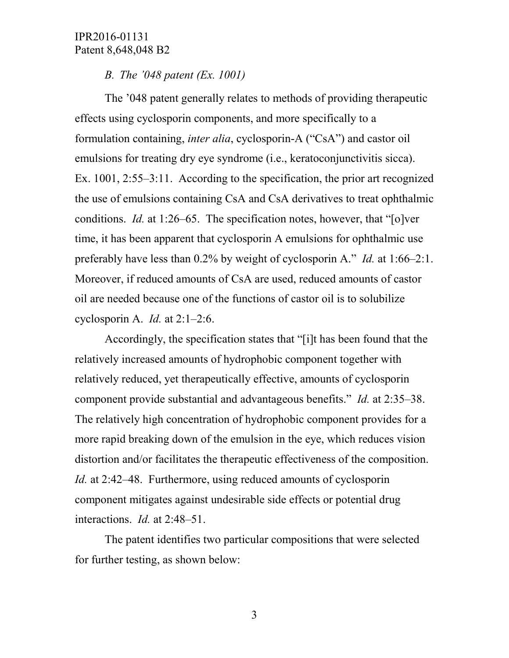# *B. The '048 patent (Ex. 1001)*

The '048 patent generally relates to methods of providing therapeutic effects using cyclosporin components, and more specifically to a formulation containing, *inter alia*, cyclosporin-A ("CsA") and castor oil emulsions for treating dry eye syndrome (i.e., keratoconjunctivitis sicca). Ex. 1001, 2:55–3:11. According to the specification, the prior art recognized the use of emulsions containing CsA and CsA derivatives to treat ophthalmic conditions. *Id.* at 1:26–65. The specification notes, however, that "[o]ver time, it has been apparent that cyclosporin A emulsions for ophthalmic use preferably have less than 0.2% by weight of cyclosporin A." *Id.* at 1:66–2:1. Moreover, if reduced amounts of CsA are used, reduced amounts of castor oil are needed because one of the functions of castor oil is to solubilize cyclosporin A. *Id.* at 2:1–2:6.

Accordingly, the specification states that "[i]t has been found that the relatively increased amounts of hydrophobic component together with relatively reduced, yet therapeutically effective, amounts of cyclosporin component provide substantial and advantageous benefits." *Id.* at 2:35–38. The relatively high concentration of hydrophobic component provides for a more rapid breaking down of the emulsion in the eye, which reduces vision distortion and/or facilitates the therapeutic effectiveness of the composition. *Id.* at 2:42–48. Furthermore, using reduced amounts of cyclosporin component mitigates against undesirable side effects or potential drug interactions. *Id.* at 2:48–51.

The patent identifies two particular compositions that were selected for further testing, as shown below: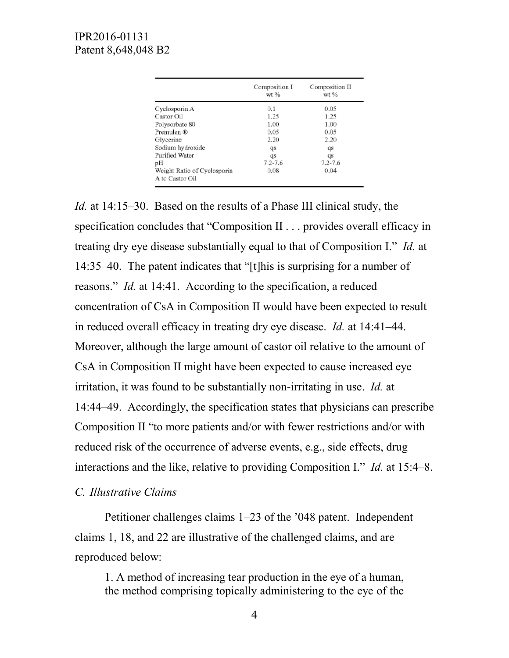|                                                | Composition I<br>$wt$ % | Composition II<br>$wt$ % |  |
|------------------------------------------------|-------------------------|--------------------------|--|
| Cyclosporin A                                  | 0.1                     | 0.05                     |  |
| Castor Oil                                     | 1.25                    | 1.25                     |  |
| Polysorbate 80                                 | 1.00                    | 1.00                     |  |
| Premulen ®                                     | 0.05                    | 0.05                     |  |
| Glycerine                                      | 2.20                    | 2.20                     |  |
| Sodium hydroxide                               | qs                      | qs                       |  |
| Purified Water                                 | qs                      | qs                       |  |
| pH                                             | $7.2 - 7.6$             | $7.2 - 7.6$              |  |
| Weight Ratio of Cyclosporin<br>A to Castor Oil | 0.08                    | 0.04                     |  |

*Id.* at 14:15–30. Based on the results of a Phase III clinical study, the specification concludes that "Composition II . . . provides overall efficacy in treating dry eye disease substantially equal to that of Composition I." *Id.* at 14:35–40. The patent indicates that "[t]his is surprising for a number of reasons." *Id.* at 14:41. According to the specification, a reduced concentration of CsA in Composition II would have been expected to result in reduced overall efficacy in treating dry eye disease. *Id.* at 14:41–44. Moreover, although the large amount of castor oil relative to the amount of CsA in Composition II might have been expected to cause increased eye irritation, it was found to be substantially non-irritating in use. *Id.* at 14:44–49. Accordingly, the specification states that physicians can prescribe Composition II "to more patients and/or with fewer restrictions and/or with reduced risk of the occurrence of adverse events, e.g., side effects, drug interactions and the like, relative to providing Composition I." *Id.* at 15:4–8.

#### *C. Illustrative Claims*

Petitioner challenges claims 1–23 of the '048 patent. Independent claims 1, 18, and 22 are illustrative of the challenged claims, and are reproduced below:

1. A method of increasing tear production in the eye of a human, the method comprising topically administering to the eye of the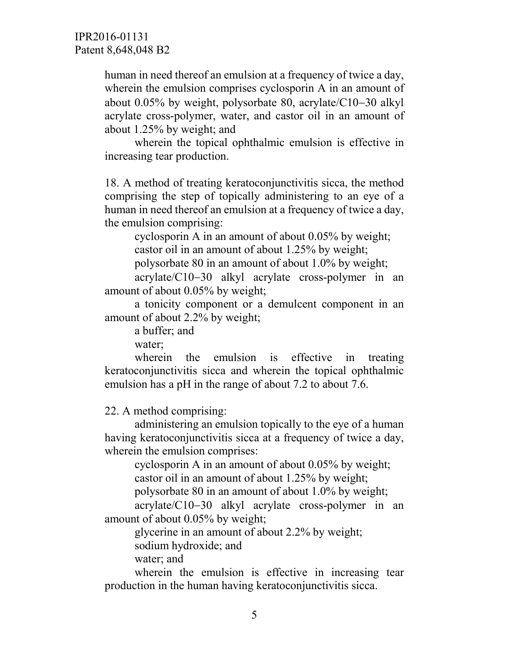human in need thereof an emulsion at a frequency of twice a day, wherein the emulsion comprises cyclosporin A in an amount of about 0.05% by weight, polysorbate 80, acrylate/C10−30 alkyl acrylate cross-polymer, water, and castor oil in an amount of about 1.25% by weight; and

wherein the topical ophthalmic emulsion is effective in increasing tear production.

18. A method of treating keratoconjunctivitis sicca, the method comprising the step of topically administering to an eye of a human in need thereof an emulsion at a frequency of twice a day, the emulsion comprising:

cyclosporin A in an amount of about 0.05% by weight; castor oil in an amount of about 1.25% by weight;

polysorbate 80 in an amount of about 1.0% by weight;

acrylate/C10−30 alkyl acrylate cross-polymer in an amount of about 0.05% by weight;

a tonicity component or a demulcent component in an amount of about 2.2% by weight;

a buffer; and

water;

wherein the emulsion is effective in treating keratoconjunctivitis sicca and wherein the topical ophthalmic emulsion has a pH in the range of about 7.2 to about 7.6.

22. A method comprising:

administering an emulsion topically to the eye of a human having keratoconjunctivitis sicca at a frequency of twice a day, wherein the emulsion comprises:

cyclosporin A in an amount of about 0.05% by weight; castor oil in an amount of about 1.25% by weight;

polysorbate 80 in an amount of about 1.0% by weight;

acrylate/C10−30 alkyl acrylate cross-polymer in an amount of about 0.05% by weight;

glycerine in an amount of about 2.2% by weight;

sodium hydroxide; and

water; and

wherein the emulsion is effective in increasing tear production in the human having keratoconjunctivitis sicca.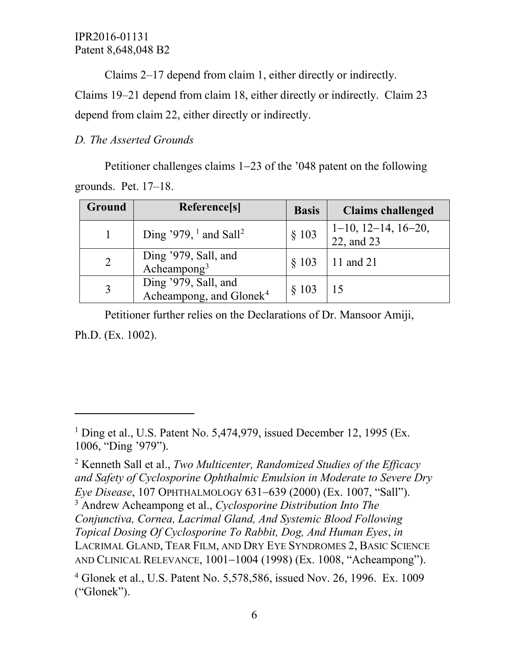Claims 2–17 depend from claim 1, either directly or indirectly.

Claims 19–21 depend from claim 18, either directly or indirectly. Claim 23 depend from claim 22, either directly or indirectly.

# *D. The Asserted Grounds*

 $\overline{a}$ 

Petitioner challenges claims 1−23 of the '048 patent on the following grounds. Pet. 17–18.

| <b>Ground</b> | Reference[s]                                                | <b>Basis</b> | <b>Claims challenged</b>                   |
|---------------|-------------------------------------------------------------|--------------|--------------------------------------------|
|               | Ding '979, $\frac{1}{2}$ and Sall <sup>2</sup>              | § 103        | $1-10$ , $12-14$ , $16-20$ ,<br>22, and 23 |
| 2             | Ding '979, Sall, and<br>Acheampong <sup>3</sup>             | § 103        | 11 and 21                                  |
|               | Ding '979, Sall, and<br>Acheampong, and Glonek <sup>4</sup> | § 103        | 15                                         |

Petitioner further relies on the Declarations of Dr. Mansoor Amiji, Ph.D. (Ex. 1002).

<span id="page-5-2"></span><span id="page-5-1"></span><sup>2</sup> Kenneth Sall et al., *Two Multicenter, Randomized Studies of the Efficacy and Safety of Cyclosporine Ophthalmic Emulsion in Moderate to Severe Dry Eye Disease*, 107 OPHTHALMOLOGY 631−639 (2000) (Ex. 1007, "Sall"). <sup>3</sup> Andrew Acheampong et al., *Cyclosporine Distribution Into The Conjunctiva, Cornea, Lacrimal Gland, And Systemic Blood Following Topical Dosing Of Cyclosporine To Rabbit, Dog, And Human Eyes*, *in* LACRIMAL GLAND, TEAR FILM, AND DRY EYE SYNDROMES 2, BASIC SCIENCE AND CLINICAL RELEVANCE, 1001−1004 (1998) (Ex. 1008, "Acheampong").

<span id="page-5-0"></span><sup>&</sup>lt;sup>1</sup> Ding et al., U.S. Patent No. 5,474,979, issued December 12, 1995 (Ex. 1006, "Ding '979").

<span id="page-5-3"></span><sup>4</sup> Glonek et al., U.S. Patent No. 5,578,586, issued Nov. 26, 1996. Ex. 1009 ("Glonek").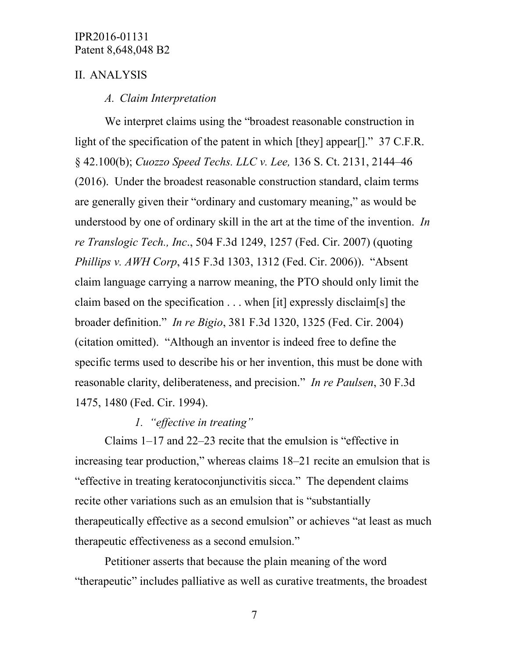### II. ANALYSIS

#### *A. Claim Interpretation*

We interpret claims using the "broadest reasonable construction in light of the specification of the patent in which [they] appear[]." 37 C.F.R. § 42.100(b); *Cuozzo Speed Techs. LLC v. Lee,* 136 S. Ct. 2131, 2144–46 (2016). Under the broadest reasonable construction standard, claim terms are generally given their "ordinary and customary meaning," as would be understood by one of ordinary skill in the art at the time of the invention. *In re Translogic Tech., Inc*., 504 F.3d 1249, 1257 (Fed. Cir. 2007) (quoting *Phillips v. AWH Corp*, 415 F.3d 1303, 1312 (Fed. Cir. 2006)). "Absent claim language carrying a narrow meaning, the PTO should only limit the claim based on the specification . . . when [it] expressly disclaim[s] the broader definition." *In re Bigio*, 381 F.3d 1320, 1325 (Fed. Cir. 2004) (citation omitted). "Although an inventor is indeed free to define the specific terms used to describe his or her invention, this must be done with reasonable clarity, deliberateness, and precision." *In re Paulsen*, 30 F.3d 1475, 1480 (Fed. Cir. 1994).

### *1. "effective in treating"*

Claims 1–17 and 22–23 recite that the emulsion is "effective in increasing tear production," whereas claims 18–21 recite an emulsion that is "effective in treating keratoconjunctivitis sicca." The dependent claims recite other variations such as an emulsion that is "substantially therapeutically effective as a second emulsion" or achieves "at least as much therapeutic effectiveness as a second emulsion."

Petitioner asserts that because the plain meaning of the word "therapeutic" includes palliative as well as curative treatments, the broadest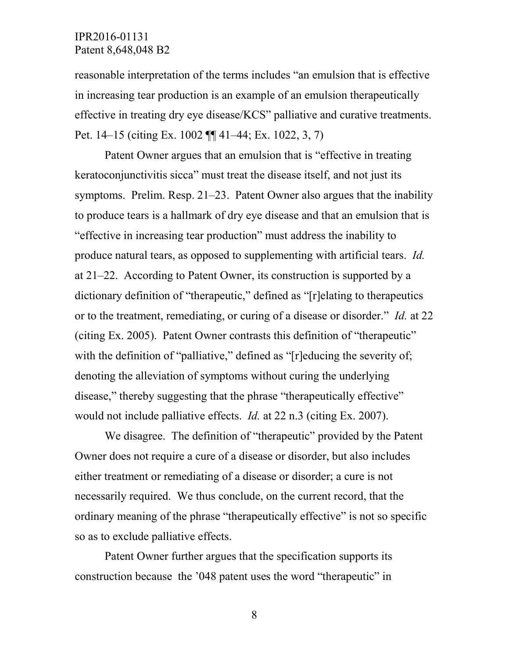reasonable interpretation of the terms includes "an emulsion that is effective in increasing tear production is an example of an emulsion therapeutically effective in treating dry eye disease/KCS" palliative and curative treatments. Pet. 14–15 (citing Ex. 1002 ¶¶ 41–44; Ex. 1022, 3, 7)

Patent Owner argues that an emulsion that is "effective in treating keratoconjunctivitis sicca" must treat the disease itself, and not just its symptoms. Prelim. Resp. 21–23. Patent Owner also argues that the inability to produce tears is a hallmark of dry eye disease and that an emulsion that is "effective in increasing tear production" must address the inability to produce natural tears, as opposed to supplementing with artificial tears. *Id.* at 21–22. According to Patent Owner, its construction is supported by a dictionary definition of "therapeutic," defined as "[r]elating to therapeutics or to the treatment, remediating, or curing of a disease or disorder." *Id.* at 22 (citing Ex. 2005). Patent Owner contrasts this definition of "therapeutic" with the definition of "palliative," defined as "[r]educing the severity of; denoting the alleviation of symptoms without curing the underlying disease," thereby suggesting that the phrase "therapeutically effective" would not include palliative effects. *Id.* at 22 n.3 (citing Ex. 2007).

We disagree. The definition of "therapeutic" provided by the Patent Owner does not require a cure of a disease or disorder, but also includes either treatment or remediating of a disease or disorder; a cure is not necessarily required. We thus conclude, on the current record, that the ordinary meaning of the phrase "therapeutically effective" is not so specific so as to exclude palliative effects.

Patent Owner further argues that the specification supports its construction because the '048 patent uses the word "therapeutic" in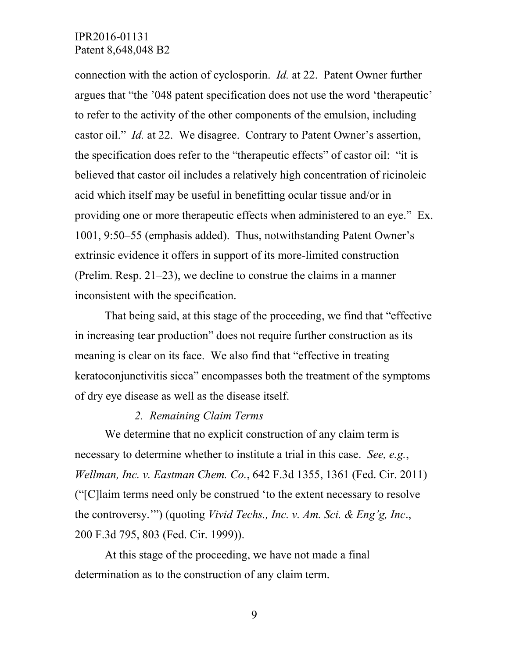connection with the action of cyclosporin. *Id.* at 22. Patent Owner further argues that "the '048 patent specification does not use the word 'therapeutic' to refer to the activity of the other components of the emulsion, including castor oil." *Id.* at 22. We disagree. Contrary to Patent Owner's assertion, the specification does refer to the "therapeutic effects" of castor oil: "it is believed that castor oil includes a relatively high concentration of ricinoleic acid which itself may be useful in benefitting ocular tissue and/or in providing one or more therapeutic effects when administered to an eye." Ex. 1001, 9:50–55 (emphasis added). Thus, notwithstanding Patent Owner's extrinsic evidence it offers in support of its more-limited construction (Prelim. Resp. 21–23), we decline to construe the claims in a manner inconsistent with the specification.

That being said, at this stage of the proceeding, we find that "effective in increasing tear production" does not require further construction as its meaning is clear on its face. We also find that "effective in treating keratoconjunctivitis sicca" encompasses both the treatment of the symptoms of dry eye disease as well as the disease itself.

#### *2. Remaining Claim Terms*

We determine that no explicit construction of any claim term is necessary to determine whether to institute a trial in this case. *See, e.g.*, *Wellman, Inc. v. Eastman Chem. Co.*, 642 F.3d 1355, 1361 (Fed. Cir. 2011) ("[C]laim terms need only be construed 'to the extent necessary to resolve the controversy.'") (quoting *Vivid Techs., Inc. v. Am. Sci. & Eng'g, Inc*., 200 F.3d 795, 803 (Fed. Cir. 1999)).

At this stage of the proceeding, we have not made a final determination as to the construction of any claim term.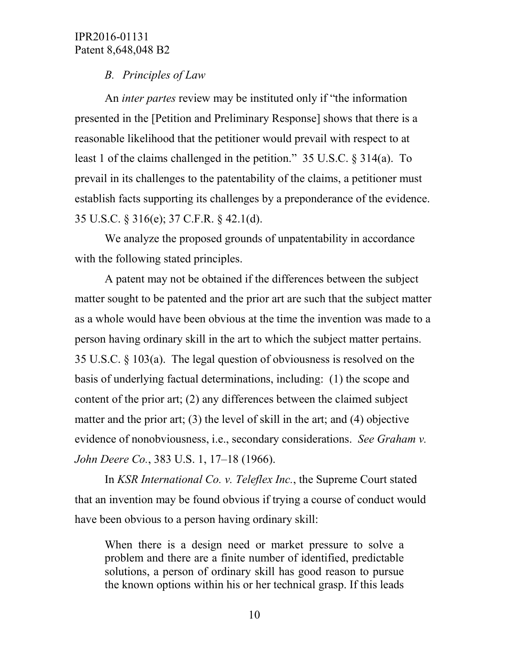# *B. Principles of Law*

An *inter partes* review may be instituted only if "the information presented in the [Petition and Preliminary Response] shows that there is a reasonable likelihood that the petitioner would prevail with respect to at least 1 of the claims challenged in the petition." 35 U.S.C. § 314(a). To prevail in its challenges to the patentability of the claims, a petitioner must establish facts supporting its challenges by a preponderance of the evidence. 35 U.S.C. § 316(e); 37 C.F.R. § 42.1(d).

We analyze the proposed grounds of unpatentability in accordance with the following stated principles.

A patent may not be obtained if the differences between the subject matter sought to be patented and the prior art are such that the subject matter as a whole would have been obvious at the time the invention was made to a person having ordinary skill in the art to which the subject matter pertains. 35 U.S.C. § 103(a). The legal question of obviousness is resolved on the basis of underlying factual determinations, including: (1) the scope and content of the prior art; (2) any differences between the claimed subject matter and the prior art; (3) the level of skill in the art; and (4) objective evidence of nonobviousness, i.e., secondary considerations. *See Graham v. John Deere Co.*, 383 U.S. 1, 17–18 (1966).

In *KSR International Co. v. Teleflex Inc.*, the Supreme Court stated that an invention may be found obvious if trying a course of conduct would have been obvious to a person having ordinary skill:

When there is a design need or market pressure to solve a problem and there are a finite number of identified, predictable solutions, a person of ordinary skill has good reason to pursue the known options within his or her technical grasp. If this leads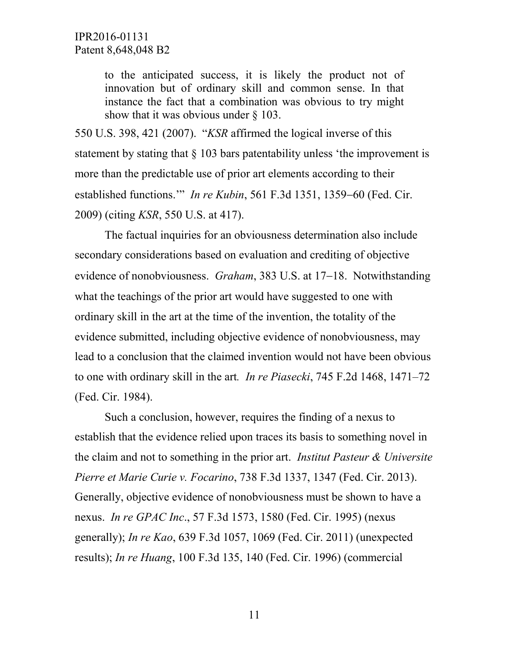to the anticipated success, it is likely the product not of innovation but of ordinary skill and common sense. In that instance the fact that a combination was obvious to try might show that it was obvious under § 103.

550 U.S. 398, 421 (2007). "*KSR* affirmed the logical inverse of this statement by stating that § 103 bars patentability unless 'the improvement is more than the predictable use of prior art elements according to their established functions.'" *In re Kubin*, 561 F.3d 1351, 1359−60 (Fed. Cir. 2009) (citing *KSR*, 550 U.S. at 417).

The factual inquiries for an obviousness determination also include secondary considerations based on evaluation and crediting of objective evidence of nonobviousness. *Graham*, 383 U.S. at 17−18. Notwithstanding what the teachings of the prior art would have suggested to one with ordinary skill in the art at the time of the invention, the totality of the evidence submitted, including objective evidence of nonobviousness, may lead to a conclusion that the claimed invention would not have been obvious to one with ordinary skill in the art*. In re Piasecki*, 745 F.2d 1468, 1471–72 (Fed. Cir. 1984).

Such a conclusion, however, requires the finding of a nexus to establish that the evidence relied upon traces its basis to something novel in the claim and not to something in the prior art. *Institut Pasteur & Universite Pierre et Marie Curie v. Focarino*, 738 F.3d 1337, 1347 (Fed. Cir. 2013). Generally, objective evidence of nonobviousness must be shown to have a nexus. *In re GPAC Inc*., 57 F.3d 1573, 1580 (Fed. Cir. 1995) (nexus generally); *In re Kao*, 639 F.3d 1057, 1069 (Fed. Cir. 2011) (unexpected results); *In re Huang*, 100 F.3d 135, 140 (Fed. Cir. 1996) (commercial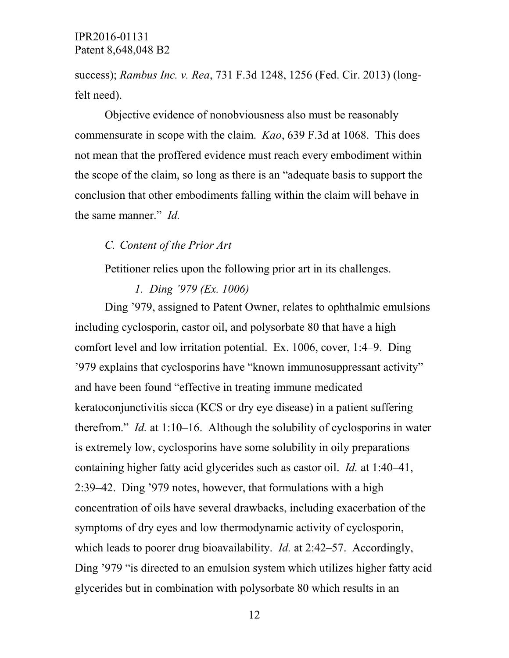success); *Rambus Inc. v. Rea*, 731 F.3d 1248, 1256 (Fed. Cir. 2013) (longfelt need).

Objective evidence of nonobviousness also must be reasonably commensurate in scope with the claim. *Kao*, 639 F.3d at 1068. This does not mean that the proffered evidence must reach every embodiment within the scope of the claim, so long as there is an "adequate basis to support the conclusion that other embodiments falling within the claim will behave in the same manner." *Id.*

### *C. Content of the Prior Art*

Petitioner relies upon the following prior art in its challenges.

*1. Ding '979 (Ex. 1006)* 

Ding '979, assigned to Patent Owner, relates to ophthalmic emulsions including cyclosporin, castor oil, and polysorbate 80 that have a high comfort level and low irritation potential. Ex. 1006, cover, 1:4–9. Ding '979 explains that cyclosporins have "known immunosuppressant activity" and have been found "effective in treating immune medicated keratoconjunctivitis sicca (KCS or dry eye disease) in a patient suffering therefrom." *Id.* at 1:10–16. Although the solubility of cyclosporins in water is extremely low, cyclosporins have some solubility in oily preparations containing higher fatty acid glycerides such as castor oil. *Id.* at 1:40–41, 2:39–42. Ding '979 notes, however, that formulations with a high concentration of oils have several drawbacks, including exacerbation of the symptoms of dry eyes and low thermodynamic activity of cyclosporin, which leads to poorer drug bioavailability. *Id.* at 2:42–57. Accordingly, Ding '979 "is directed to an emulsion system which utilizes higher fatty acid glycerides but in combination with polysorbate 80 which results in an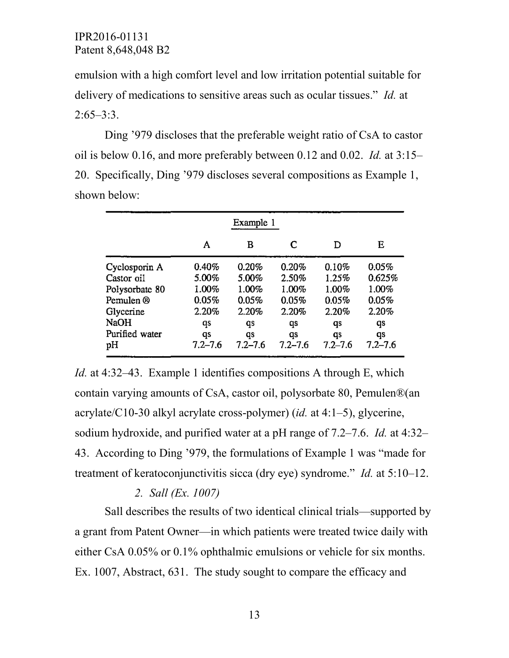emulsion with a high comfort level and low irritation potential suitable for delivery of medications to sensitive areas such as ocular tissues." *Id.* at  $2:65-3:3$ .

Ding '979 discloses that the preferable weight ratio of CsA to castor oil is below 0.16, and more preferably between 0.12 and 0.02. *Id.* at 3:15– 20. Specifically, Ding '979 discloses several compositions as Example 1, shown below:

|                | Example 1   |             |             |             |             |  |
|----------------|-------------|-------------|-------------|-------------|-------------|--|
|                | Α           | в           | C           | D           | Е           |  |
| Cyclosporin A  | 0.40%       | 0.20%       | 0.20%       | 0.10%       | 0.05%       |  |
| Castor oil     | 5.00%       | 5.00%       | 2.50%       | 1.25%       | 0.625%      |  |
| Polysorbate 80 | 1.00%       | 1.00%       | 1.00%       | 1.00%       | 1.00%       |  |
| Pemulen ®      | 0.05%       | 0.05%       | 0.05%       | 0.05%       | 0.05%       |  |
| Glycerine      | 2.20%       | 2.20%       | 2.20%       | 2.20%       | 2.20%       |  |
| <b>NaOH</b>    | qs          | qs          | qs          | qs          | qs          |  |
| Purified water | qs          | qs          | qs          | qs          | qs          |  |
| pН             | $7.2 - 7.6$ | $7.2 - 7.6$ | $7.2 - 7.6$ | $7.2 - 7.6$ | $7.2 - 7.6$ |  |

*Id.* at 4:32–43. Example 1 identifies compositions A through E, which contain varying amounts of CsA, castor oil, polysorbate 80, Pemulen®(an acrylate/C10-30 alkyl acrylate cross-polymer) (*id.* at 4:1–5), glycerine, sodium hydroxide, and purified water at a pH range of 7.2–7.6. *Id.* at 4:32– 43. According to Ding '979, the formulations of Example 1 was "made for treatment of keratoconjunctivitis sicca (dry eye) syndrome." *Id.* at 5:10–12.

### *2. Sall (Ex. 1007)*

Sall describes the results of two identical clinical trials—supported by a grant from Patent Owner—in which patients were treated twice daily with either CsA 0.05% or 0.1% ophthalmic emulsions or vehicle for six months. Ex. 1007, Abstract, 631. The study sought to compare the efficacy and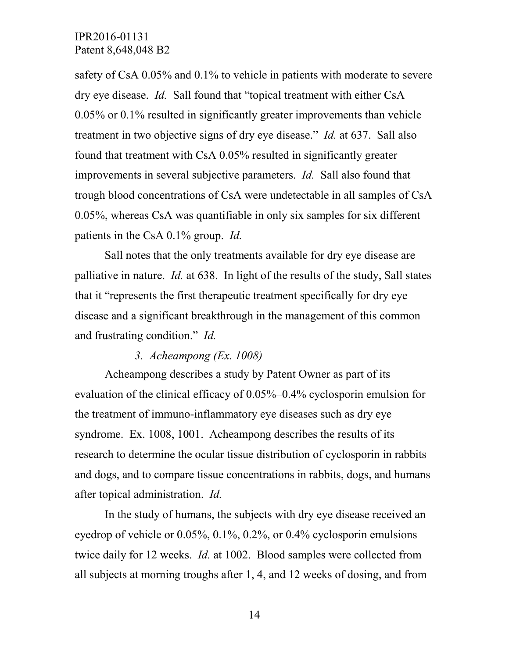safety of CsA 0.05% and 0.1% to vehicle in patients with moderate to severe dry eye disease. *Id.* Sall found that "topical treatment with either CsA 0.05% or 0.1% resulted in significantly greater improvements than vehicle treatment in two objective signs of dry eye disease." *Id.* at 637. Sall also found that treatment with CsA 0.05% resulted in significantly greater improvements in several subjective parameters. *Id.* Sall also found that trough blood concentrations of CsA were undetectable in all samples of CsA 0.05%, whereas CsA was quantifiable in only six samples for six different patients in the CsA 0.1% group. *Id.*

Sall notes that the only treatments available for dry eye disease are palliative in nature. *Id.* at 638. In light of the results of the study, Sall states that it "represents the first therapeutic treatment specifically for dry eye disease and a significant breakthrough in the management of this common and frustrating condition." *Id.*

#### *3. Acheampong (Ex. 1008)*

Acheampong describes a study by Patent Owner as part of its evaluation of the clinical efficacy of 0.05%–0.4% cyclosporin emulsion for the treatment of immuno-inflammatory eye diseases such as dry eye syndrome. Ex. 1008, 1001. Acheampong describes the results of its research to determine the ocular tissue distribution of cyclosporin in rabbits and dogs, and to compare tissue concentrations in rabbits, dogs, and humans after topical administration. *Id.*

In the study of humans, the subjects with dry eye disease received an eyedrop of vehicle or 0.05%, 0.1%, 0.2%, or 0.4% cyclosporin emulsions twice daily for 12 weeks. *Id.* at 1002. Blood samples were collected from all subjects at morning troughs after 1, 4, and 12 weeks of dosing, and from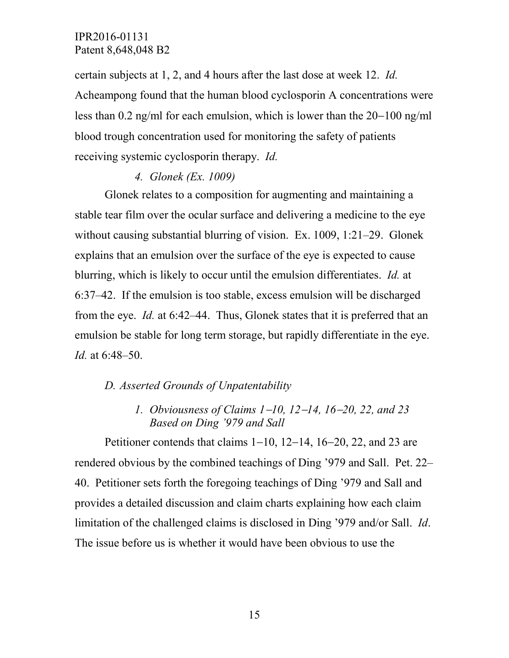certain subjects at 1, 2, and 4 hours after the last dose at week 12. *Id.* Acheampong found that the human blood cyclosporin A concentrations were less than 0.2 ng/ml for each emulsion, which is lower than the 20−100 ng/ml blood trough concentration used for monitoring the safety of patients receiving systemic cyclosporin therapy. *Id.*

#### *4. Glonek (Ex. 1009)*

Glonek relates to a composition for augmenting and maintaining a stable tear film over the ocular surface and delivering a medicine to the eye without causing substantial blurring of vision. Ex. 1009, 1:21–29. Glonek explains that an emulsion over the surface of the eye is expected to cause blurring, which is likely to occur until the emulsion differentiates. *Id.* at 6:37–42. If the emulsion is too stable, excess emulsion will be discharged from the eye. *Id.* at 6:42–44. Thus, Glonek states that it is preferred that an emulsion be stable for long term storage, but rapidly differentiate in the eye. *Id.* at 6:48–50.

### *D. Asserted Grounds of Unpatentability*

*1. Obviousness of Claims 1*−*10, 12*−*14, 16*−*20, 22, and 23 Based on Ding '979 and Sall*

Petitioner contends that claims 1−10, 12−14, 16−20, 22, and 23 are rendered obvious by the combined teachings of Ding '979 and Sall. Pet. 22– 40. Petitioner sets forth the foregoing teachings of Ding '979 and Sall and provides a detailed discussion and claim charts explaining how each claim limitation of the challenged claims is disclosed in Ding '979 and/or Sall. *Id*. The issue before us is whether it would have been obvious to use the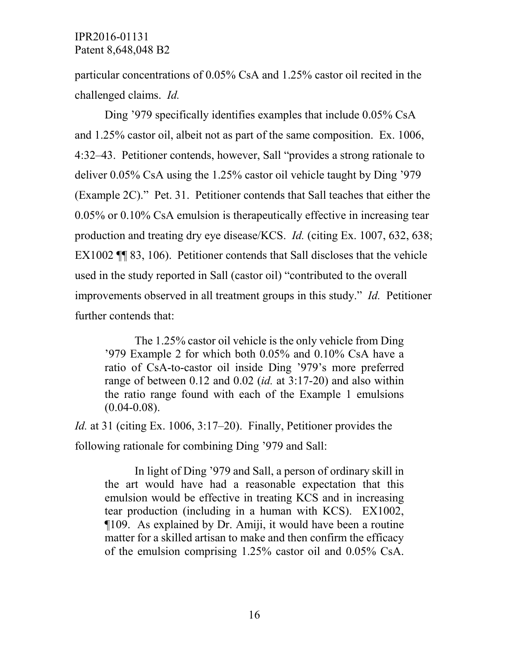particular concentrations of 0.05% CsA and 1.25% castor oil recited in the challenged claims. *Id.*

Ding '979 specifically identifies examples that include 0.05% CsA and 1.25% castor oil, albeit not as part of the same composition. Ex. 1006, 4:32–43. Petitioner contends, however, Sall "provides a strong rationale to deliver 0.05% CsA using the 1.25% castor oil vehicle taught by Ding '979 (Example 2C)." Pet. 31. Petitioner contends that Sall teaches that either the 0.05% or 0.10% CsA emulsion is therapeutically effective in increasing tear production and treating dry eye disease/KCS. *Id.* (citing Ex. 1007, 632, 638; EX1002 ¶¶ 83, 106). Petitioner contends that Sall discloses that the vehicle used in the study reported in Sall (castor oil) "contributed to the overall improvements observed in all treatment groups in this study." *Id.* Petitioner further contends that:

The 1.25% castor oil vehicle is the only vehicle from Ding '979 Example 2 for which both 0.05% and 0.10% CsA have a ratio of CsA-to-castor oil inside Ding '979's more preferred range of between 0.12 and 0.02 (*id.* at 3:17-20) and also within the ratio range found with each of the Example 1 emulsions  $(0.04 - 0.08)$ .

*Id.* at 31 (citing Ex. 1006, 3:17–20). Finally, Petitioner provides the following rationale for combining Ding '979 and Sall:

In light of Ding '979 and Sall, a person of ordinary skill in the art would have had a reasonable expectation that this emulsion would be effective in treating KCS and in increasing tear production (including in a human with KCS). EX1002, ¶109. As explained by Dr. Amiji, it would have been a routine matter for a skilled artisan to make and then confirm the efficacy of the emulsion comprising 1.25% castor oil and 0.05% CsA.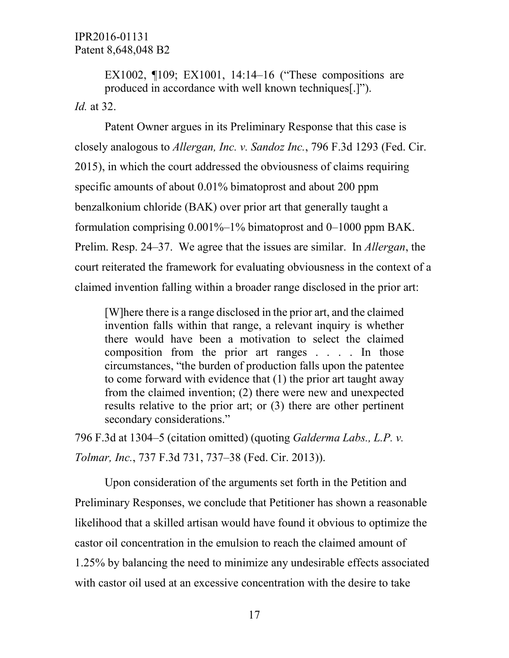EX1002, ¶109; EX1001, 14:14–16 ("These compositions are produced in accordance with well known techniques[.]"). *Id.* at 32.

Patent Owner argues in its Preliminary Response that this case is closely analogous to *Allergan, Inc. v. Sandoz Inc.*, 796 F.3d 1293 (Fed. Cir. 2015), in which the court addressed the obviousness of claims requiring specific amounts of about 0.01% bimatoprost and about 200 ppm benzalkonium chloride (BAK) over prior art that generally taught a formulation comprising 0.001%–1% bimatoprost and 0–1000 ppm BAK. Prelim. Resp. 24–37. We agree that the issues are similar. In *Allergan*, the court reiterated the framework for evaluating obviousness in the context of a claimed invention falling within a broader range disclosed in the prior art:

[W]here there is a range disclosed in the prior art, and the claimed invention falls within that range, a relevant inquiry is whether there would have been a motivation to select the claimed composition from the prior art ranges . . . . In those circumstances, "the burden of production falls upon the patentee to come forward with evidence that (1) the prior art taught away from the claimed invention; (2) there were new and unexpected results relative to the prior art; or (3) there are other pertinent secondary considerations."

796 F.3d at 1304–5 (citation omitted) (quoting *Galderma Labs., L.P. v. Tolmar, Inc.*, 737 F.3d 731, 737–38 (Fed. Cir. 2013)).

Upon consideration of the arguments set forth in the Petition and Preliminary Responses, we conclude that Petitioner has shown a reasonable likelihood that a skilled artisan would have found it obvious to optimize the castor oil concentration in the emulsion to reach the claimed amount of 1.25% by balancing the need to minimize any undesirable effects associated with castor oil used at an excessive concentration with the desire to take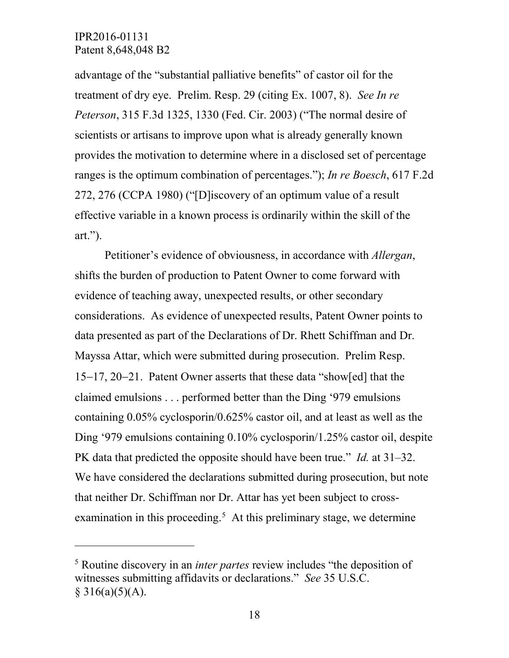$\overline{a}$ 

advantage of the "substantial palliative benefits" of castor oil for the treatment of dry eye. Prelim. Resp. 29 (citing Ex. 1007, 8). *See In re Peterson*, 315 F.3d 1325, 1330 (Fed. Cir. 2003) ("The normal desire of scientists or artisans to improve upon what is already generally known provides the motivation to determine where in a disclosed set of percentage ranges is the optimum combination of percentages."); *In re Boesch*, 617 F.2d 272, 276 (CCPA 1980) ("[D]iscovery of an optimum value of a result effective variable in a known process is ordinarily within the skill of the art.").

Petitioner's evidence of obviousness, in accordance with *Allergan*, shifts the burden of production to Patent Owner to come forward with evidence of teaching away, unexpected results, or other secondary considerations. As evidence of unexpected results, Patent Owner points to data presented as part of the Declarations of Dr. Rhett Schiffman and Dr. Mayssa Attar, which were submitted during prosecution. Prelim Resp. 15−17, 20−21. Patent Owner asserts that these data "show[ed] that the claimed emulsions . . . performed better than the Ding '979 emulsions containing 0.05% cyclosporin/0.625% castor oil, and at least as well as the Ding '979 emulsions containing 0.10% cyclosporin/1.25% castor oil, despite PK data that predicted the opposite should have been true." *Id.* at 31–32. We have considered the declarations submitted during prosecution, but note that neither Dr. Schiffman nor Dr. Attar has yet been subject to cross-examination in this proceeding.<sup>[5](#page-17-0)</sup> At this preliminary stage, we determine

<span id="page-17-0"></span><sup>5</sup> Routine discovery in an *inter partes* review includes "the deposition of witnesses submitting affidavits or declarations." *See* 35 U.S.C.  $§ 316(a)(5)(A).$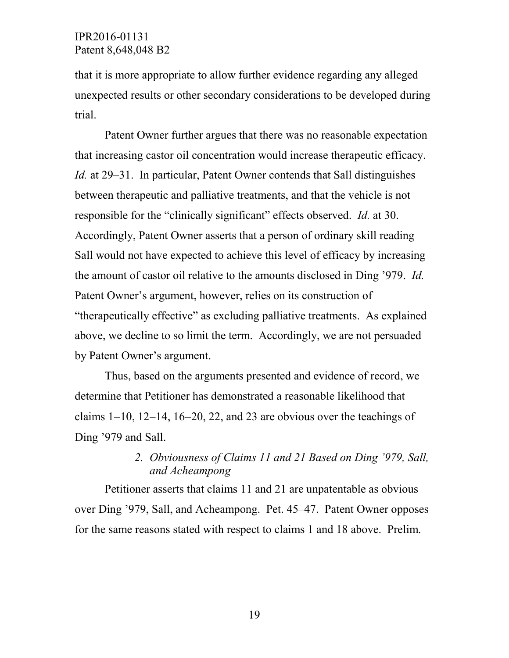that it is more appropriate to allow further evidence regarding any alleged unexpected results or other secondary considerations to be developed during trial.

Patent Owner further argues that there was no reasonable expectation that increasing castor oil concentration would increase therapeutic efficacy. *Id.* at 29–31. In particular, Patent Owner contends that Sall distinguishes between therapeutic and palliative treatments, and that the vehicle is not responsible for the "clinically significant" effects observed. *Id.* at 30. Accordingly, Patent Owner asserts that a person of ordinary skill reading Sall would not have expected to achieve this level of efficacy by increasing the amount of castor oil relative to the amounts disclosed in Ding '979. *Id.* Patent Owner's argument, however, relies on its construction of "therapeutically effective" as excluding palliative treatments. As explained above, we decline to so limit the term. Accordingly, we are not persuaded by Patent Owner's argument.

Thus, based on the arguments presented and evidence of record, we determine that Petitioner has demonstrated a reasonable likelihood that claims 1−10, 12−14, 16−20, 22, and 23 are obvious over the teachings of Ding '979 and Sall.

## *2. Obviousness of Claims 11 and 21 Based on Ding '979, Sall, and Acheampong*

Petitioner asserts that claims 11 and 21 are unpatentable as obvious over Ding '979, Sall, and Acheampong. Pet. 45–47. Patent Owner opposes for the same reasons stated with respect to claims 1 and 18 above. Prelim.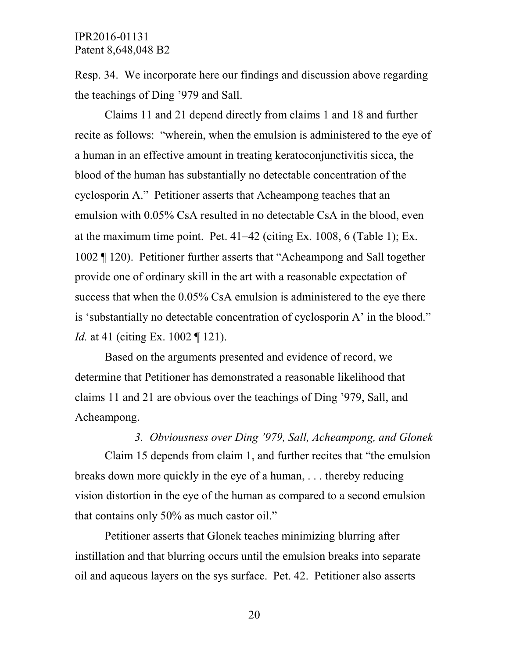Resp. 34. We incorporate here our findings and discussion above regarding the teachings of Ding '979 and Sall.

Claims 11 and 21 depend directly from claims 1 and 18 and further recite as follows: "wherein, when the emulsion is administered to the eye of a human in an effective amount in treating keratoconjunctivitis sicca, the blood of the human has substantially no detectable concentration of the cyclosporin A." Petitioner asserts that Acheampong teaches that an emulsion with 0.05% CsA resulted in no detectable CsA in the blood, even at the maximum time point. Pet. 41−42 (citing Ex. 1008, 6 (Table 1); Ex. 1002 ¶ 120). Petitioner further asserts that "Acheampong and Sall together provide one of ordinary skill in the art with a reasonable expectation of success that when the 0.05% CsA emulsion is administered to the eye there is 'substantially no detectable concentration of cyclosporin A' in the blood." *Id.* at 41 (citing Ex. 1002 ¶ 121).

Based on the arguments presented and evidence of record, we determine that Petitioner has demonstrated a reasonable likelihood that claims 11 and 21 are obvious over the teachings of Ding '979, Sall, and Acheampong.

*3. Obviousness over Ding '979, Sall, Acheampong, and Glonek* Claim 15 depends from claim 1, and further recites that "the emulsion breaks down more quickly in the eye of a human, . . . thereby reducing vision distortion in the eye of the human as compared to a second emulsion that contains only 50% as much castor oil."

Petitioner asserts that Glonek teaches minimizing blurring after instillation and that blurring occurs until the emulsion breaks into separate oil and aqueous layers on the sys surface. Pet. 42. Petitioner also asserts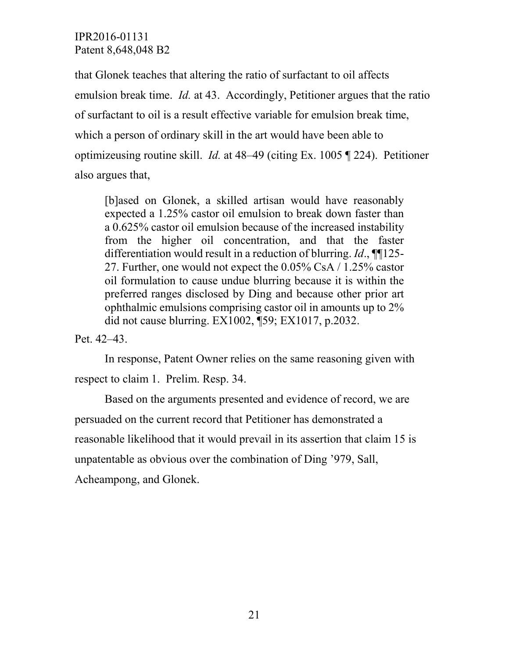that Glonek teaches that altering the ratio of surfactant to oil affects emulsion break time. *Id.* at 43. Accordingly, Petitioner argues that the ratio of surfactant to oil is a result effective variable for emulsion break time, which a person of ordinary skill in the art would have been able to optimizeusing routine skill. *Id.* at 48–49 (citing Ex. 1005 ¶ 224). Petitioner also argues that,

[b]ased on Glonek, a skilled artisan would have reasonably expected a 1.25% castor oil emulsion to break down faster than a 0.625% castor oil emulsion because of the increased instability from the higher oil concentration, and that the faster differentiation would result in a reduction of blurring. *Id*., ¶¶125- 27. Further, one would not expect the 0.05% CsA / 1.25% castor oil formulation to cause undue blurring because it is within the preferred ranges disclosed by Ding and because other prior art ophthalmic emulsions comprising castor oil in amounts up to 2% did not cause blurring. EX1002, ¶59; EX1017, p.2032.

Pet. 42–43.

In response, Patent Owner relies on the same reasoning given with respect to claim 1. Prelim. Resp. 34.

Based on the arguments presented and evidence of record, we are persuaded on the current record that Petitioner has demonstrated a reasonable likelihood that it would prevail in its assertion that claim 15 is unpatentable as obvious over the combination of Ding '979, Sall, Acheampong, and Glonek.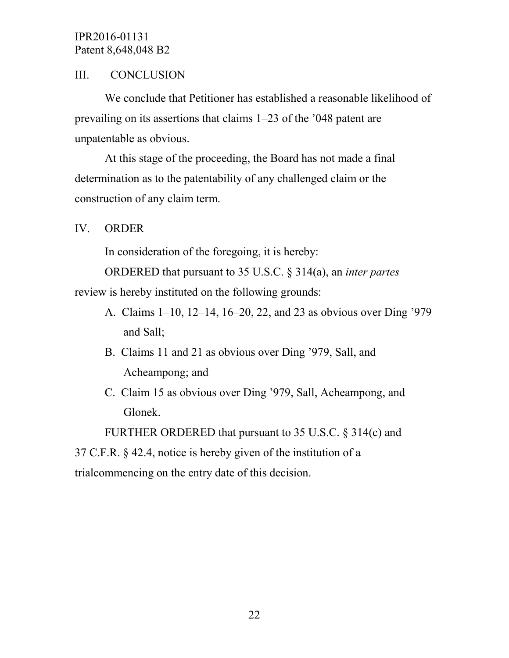# III. CONCLUSION

We conclude that Petitioner has established a reasonable likelihood of prevailing on its assertions that claims 1–23 of the '048 patent are unpatentable as obvious.

At this stage of the proceeding, the Board has not made a final determination as to the patentability of any challenged claim or the construction of any claim term.

# IV. ORDER

In consideration of the foregoing, it is hereby:

ORDERED that pursuant to 35 U.S.C. § 314(a), an *inter partes*

review is hereby instituted on the following grounds:

- A. Claims 1–10, 12–14, 16–20, 22, and 23 as obvious over Ding '979 and Sall;
- B. Claims 11 and 21 as obvious over Ding '979, Sall, and Acheampong; and
- C. Claim 15 as obvious over Ding '979, Sall, Acheampong, and Glonek.

FURTHER ORDERED that pursuant to 35 U.S.C. § 314(c) and

37 C.F.R. § 42.4, notice is hereby given of the institution of a

trialcommencing on the entry date of this decision.